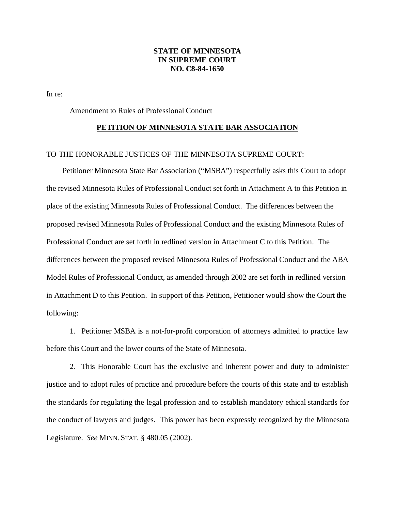### **STATE OF MINNESOTA IN SUPREME COURT NO. C8-84-1650**

In re:

Amendment to Rules of Professional Conduct

#### **PETITION OF MINNESOTA STATE BAR ASSOCIATION**

### TO THE HONORABLE JUSTICES OF THE MINNESOTA SUPREME COURT:

Petitioner Minnesota State Bar Association ("MSBA") respectfully asks this Court to adopt the revised Minnesota Rules of Professional Conduct set forth in Attachment A to this Petition in place of the existing Minnesota Rules of Professional Conduct. The differences between the proposed revised Minnesota Rules of Professional Conduct and the existing Minnesota Rules of Professional Conduct are set forth in redlined version in Attachment C to this Petition. The differences between the proposed revised Minnesota Rules of Professional Conduct and the ABA Model Rules of Professional Conduct, as amended through 2002 are set forth in redlined version in Attachment D to this Petition. In support of this Petition, Petitioner would show the Court the following:

1. Petitioner MSBA is a not-for-profit corporation of attorneys admitted to practice law before this Court and the lower courts of the State of Minnesota.

2. This Honorable Court has the exclusive and inherent power and duty to administer justice and to adopt rules of practice and procedure before the courts of this state and to establish the standards for regulating the legal profession and to establish mandatory ethical standards for the conduct of lawyers and judges. This power has been expressly recognized by the Minnesota Legislature. *See* MINN. STAT. § 480.05 (2002).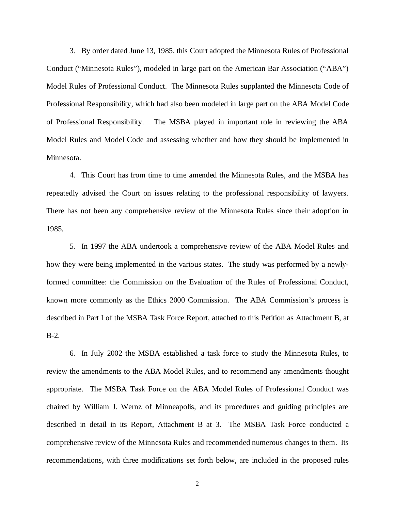3. By order dated June 13, 1985, this Court adopted the Minnesota Rules of Professional Conduct ("Minnesota Rules"), modeled in large part on the American Bar Association ("ABA") Model Rules of Professional Conduct. The Minnesota Rules supplanted the Minnesota Code of Professional Responsibility, which had also been modeled in large part on the ABA Model Code of Professional Responsibility. The MSBA played in important role in reviewing the ABA Model Rules and Model Code and assessing whether and how they should be implemented in Minnesota.

4. This Court has from time to time amended the Minnesota Rules, and the MSBA has repeatedly advised the Court on issues relating to the professional responsibility of lawyers. There has not been any comprehensive review of the Minnesota Rules since their adoption in 1985.

5. In 1997 the ABA undertook a comprehensive review of the ABA Model Rules and how they were being implemented in the various states. The study was performed by a newlyformed committee: the Commission on the Evaluation of the Rules of Professional Conduct, known more commonly as the Ethics 2000 Commission. The ABA Commission's process is described in Part I of the MSBA Task Force Report, attached to this Petition as Attachment B, at B-2.

6. In July 2002 the MSBA established a task force to study the Minnesota Rules, to review the amendments to the ABA Model Rules, and to recommend any amendments thought appropriate. The MSBA Task Force on the ABA Model Rules of Professional Conduct was chaired by William J. Wernz of Minneapolis, and its procedures and guiding principles are described in detail in its Report, Attachment B at 3. The MSBA Task Force conducted a comprehensive review of the Minnesota Rules and recommended numerous changes to them. Its recommendations, with three modifications set forth below, are included in the proposed rules

2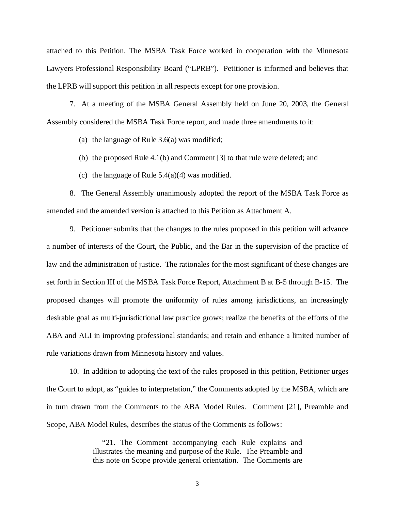attached to this Petition. The MSBA Task Force worked in cooperation with the Minnesota Lawyers Professional Responsibility Board ("LPRB"). Petitioner is informed and believes that the LPRB will support this petition in all respects except for one provision.

7. At a meeting of the MSBA General Assembly held on June 20, 2003, the General Assembly considered the MSBA Task Force report, and made three amendments to it:

(a) the language of Rule 3.6(a) was modified;

- (b) the proposed Rule 4.1(b) and Comment [3] to that rule were deleted; and
- (c) the language of Rule  $5.4(a)(4)$  was modified.

8. The General Assembly unanimously adopted the report of the MSBA Task Force as amended and the amended version is attached to this Petition as Attachment A.

9. Petitioner submits that the changes to the rules proposed in this petition will advance a number of interests of the Court, the Public, and the Bar in the supervision of the practice of law and the administration of justice. The rationales for the most significant of these changes are set forth in Section III of the MSBA Task Force Report, Attachment B at B-5 through B-15. The proposed changes will promote the uniformity of rules among jurisdictions, an increasingly desirable goal as multi-jurisdictional law practice grows; realize the benefits of the efforts of the ABA and ALI in improving professional standards; and retain and enhance a limited number of rule variations drawn from Minnesota history and values.

10. In addition to adopting the text of the rules proposed in this petition, Petitioner urges the Court to adopt, as "guides to interpretation," the Comments adopted by the MSBA, which are in turn drawn from the Comments to the ABA Model Rules. Comment [21], Preamble and Scope, ABA Model Rules, describes the status of the Comments as follows:

> "21. The Comment accompanying each Rule explains and illustrates the meaning and purpose of the Rule. The Preamble and this note on Scope provide general orientation. The Comments are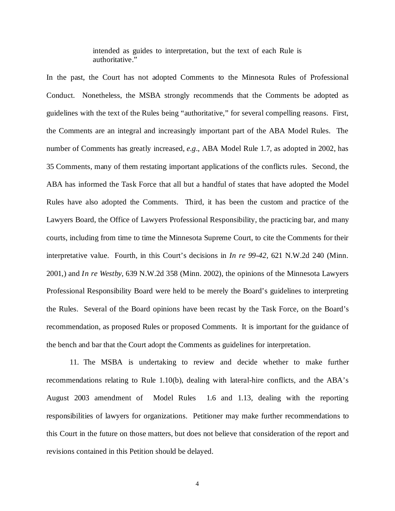intended as guides to interpretation, but the text of each Rule is authoritative."

In the past, the Court has not adopted Comments to the Minnesota Rules of Professional Conduct. Nonetheless, the MSBA strongly recommends that the Comments be adopted as guidelines with the text of the Rules being "authoritative," for several compelling reasons. First, the Comments are an integral and increasingly important part of the ABA Model Rules. The number of Comments has greatly increased, *e.g*., ABA Model Rule 1.7, as adopted in 2002, has 35 Comments, many of them restating important applications of the conflicts rules. Second, the ABA has informed the Task Force that all but a handful of states that have adopted the Model Rules have also adopted the Comments. Third, it has been the custom and practice of the Lawyers Board, the Office of Lawyers Professional Responsibility, the practicing bar, and many courts, including from time to time the Minnesota Supreme Court, to cite the Comments for their interpretative value. Fourth, in this Court's decisions in *In re 99-42*, 621 N.W.2d 240 (Minn. 2001,) and *In re Westby*, 639 N.W.2d 358 (Minn. 2002), the opinions of the Minnesota Lawyers Professional Responsibility Board were held to be merely the Board's guidelines to interpreting the Rules. Several of the Board opinions have been recast by the Task Force, on the Board's recommendation, as proposed Rules or proposed Comments. It is important for the guidance of the bench and bar that the Court adopt the Comments as guidelines for interpretation.

11. The MSBA is undertaking to review and decide whether to make further recommendations relating to Rule 1.10(b), dealing with lateral-hire conflicts, and the ABA's August 2003 amendment of Model Rules 1.6 and 1.13, dealing with the reporting responsibilities of lawyers for organizations. Petitioner may make further recommendations to this Court in the future on those matters, but does not believe that consideration of the report and revisions contained in this Petition should be delayed.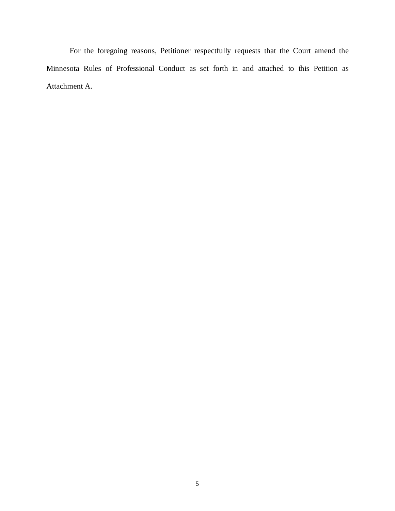For the foregoing reasons, Petitioner respectfully requests that the Court amend the Minnesota Rules of Professional Conduct as set forth in and attached to this Petition as Attachment A.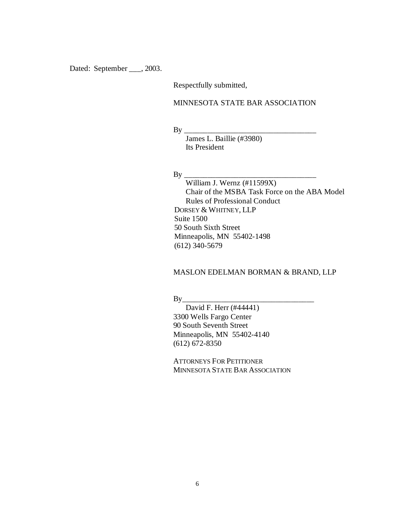Dated: September \_\_\_, 2003.

Respectfully submitted,

## MINNESOTA STATE BAR ASSOCIATION

By \_\_\_\_\_\_\_\_\_\_\_\_\_\_\_\_\_\_\_\_\_\_\_\_\_\_\_\_\_\_\_\_\_\_

James L. Baillie (#3980) Its President

 $By$ 

William J. Wernz (#11599X) Chair of the MSBA Task Force on the ABA Model Rules of Professional Conduct DORSEY & WHITNEY, LLP Suite 1500 50 South Sixth Street Minneapolis, MN 55402-1498 (612) 340-5679

## MASLON EDELMAN BORMAN & BRAND, LLP

 $By$ 

David F. Herr (#44441) 3300 Wells Fargo Center 90 South Seventh Street Minneapolis, MN 55402-4140 (612) 672-8350

ATTORNEYS FOR PETITIONER MINNESOTA STATE BAR ASSOCIATION